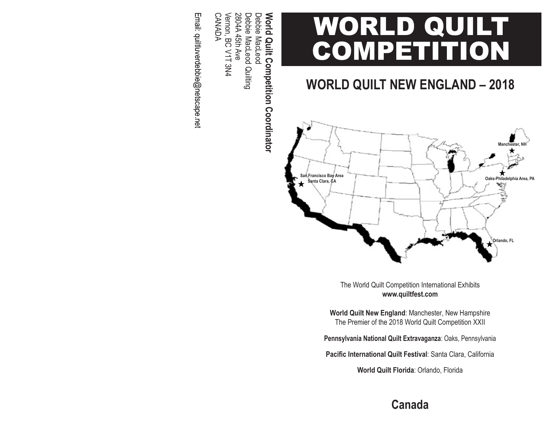# WORLD QUILT **COMPETITION**

# **WORLD QUILT NEW ENGLAND – 2018**



The World Quilt Competition International Exhibits **www.quiltfest.com**

**World Quilt New England**: Manchester, New Hampshire The Premier of the 2018 World Quilt Competition XXII

**Pennsylvania National Quilt Extravaganza**: Oaks, Pennsylvania

**Pacific International Quilt Festival**: Santa Clara, California

**World Quilt Florida**: Orlando, Florida

World Quilt Competition Coordinator **World Quilt Competition Coordinator**

Vernon, BC V1T 3N4<br>CANADA Vernon, BC V1T 3N4 2804A 45th Ave Debbie MacLeod Quilting 2804A 45th Ave Debbie MacLeod Quilting Debbie MacLeod Debbie MacLeod

Email: quiltluverdebbie@netscape.net Email: quiltluverdebbie@netscape.net

**Canada**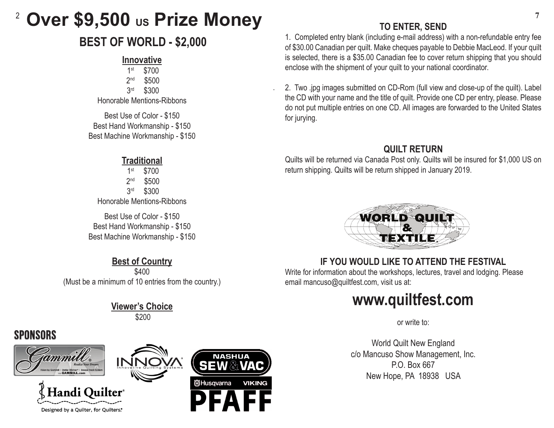#### 2 **Over \$9,500 us Prize Money**

# **BEST OF WORLD - \$2,000**

#### **Innovative**

1st \$700 2<sup>nd</sup> \$500 3rd \$300 Honorable Mentions-Ribbons

Best Use of Color - \$150 Best Hand Workmanship - \$150 Best Machine Workmanship - \$150

#### **Traditional**

1st \$700 2<sup>nd</sup> \$500 3rd \$300 Honorable Mentions-Ribbons

Best Use of Color - \$150 Best Hand Workmanship - \$150 Best Machine Workmanship - \$150

**Best of Country** \$400 (Must be a minimum of 10 entries from the country.)

#### **Viewer's Choice** \$200

# **SPONSORS**









.

### **TO ENTER, SEND**

1. Completed entry blank (including e-mail address) with a non-refundable entry fee of \$30.00 Canadian per quilt. Make cheques payable to Debbie MacLeod. If your quilt is selected, there is a \$35.00 Canadian fee to cover return shipping that you should enclose with the shipment of your quilt to your national coordinator.

2. Two .jpg images submitted on CD-Rom (full view and close-up of the quilt). Label the CD with your name and the title of quilt. Provide one CD per entry, please. Please do not put multiple entries on one CD. All images are forwarded to the United States for jurying.

### **QUILT RETURN**

Quilts will be returned via Canada Post only. Quilts will be insured for \$1,000 US on return shipping. Quilts will be return shipped in January 2019.



### **IF YOU WOULD LIKE TO ATTEND THE FESTIVAL**

Write for information about the workshops, lectures, travel and lodging. Please email mancuso@quiltfest.com, visit us at:

# **www.quiltfest.com**

or write to:

World Quilt New England c/o Mancuso Show Management, Inc. P.O. Box 667 New Hope, PA 18938 USA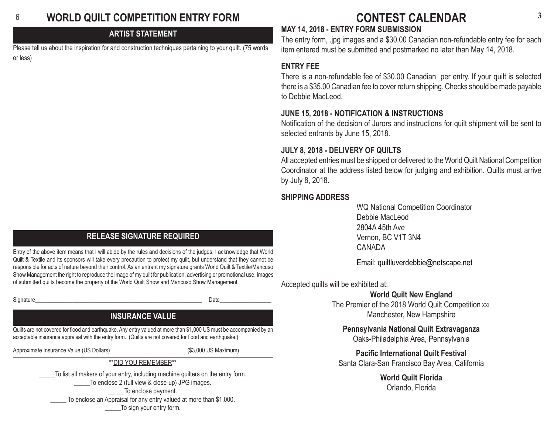#### 6 **WORLD QUILT COMPETITION ENTRY FORM**

#### **ARTIST STATEMENT**

Please tell us about the inspiration for and construction techniques pertaining to your quilt. (75 words or less)

#### **RELEASE SIGNATURE REQUIRED**

Entry of the above item means that I will abide by the rules and decisions of the judges. I acknowledge that World Quilt & Textile and its sponsors will take every precaution to protect my quilt, but understand that they cannot be responsible for acts of nature beyond their control. As an entrant my signature grants World Quilt & Textile/Mancuso Show Management the right to reproduce the image of my quilt for publication, advertising or promotional use. Images of submitted quilts become the property of the World Quilt Show and Mancuso Show Management.

Signature\_\_\_\_\_\_\_\_\_\_\_\_\_\_\_\_\_\_\_\_\_\_\_\_\_\_\_\_\_\_\_\_\_\_\_\_\_\_\_\_\_\_\_\_\_\_\_\_\_\_\_\_\_\_\_\_\_\_ Date\_\_\_\_\_\_\_\_\_\_\_\_\_\_\_\_\_\_

#### **INSURANCE VALUE**

Quilts are not covered for flood and earthquake. Any entry valued at more than \$1,000 US must be accompanied by an acceptable insurance appraisal with the entry form. (Quilts are not covered for flood and earthquake.)

Approximate Insurance Value (US Dollars) example and the state (\$3,000 US Maximum)

\*\*DID YOU REMEMBER\*\*

\_\_\_\_\_To list all makers of your entry, including machine quilters on the entry form. \_\_\_\_\_To enclose 2 (full view & close-up) JPG images. \_\_\_\_\_To enclose payment. To enclose an Appraisal for any entry valued at more than \$1,000. \_\_\_\_\_To sign your entry form.

## **<sup>3</sup> CONTEST CALENDAR**

#### **MAY 14, 2018 - ENTRY FORM SUBMISSION**

The entry form, .jpg images and a \$30.00 Canadian non-refundable entry fee for each item entered must be submitted and postmarked no later than May 14, 2018.

#### **ENTRY FEE**

There is a non-refundable fee of \$30.00 Canadian per entry. If your quilt is selected there is a \$35.00 Canadian fee to cover return shipping. Checks should be made payable to Debbie MacLeod.

#### **JUNE 15, 2018 - NOTIFICATION & INSTRUCTIONS**

Notification of the decision of Jurors and instructions for quilt shipment will be sent to selected entrants by June 15, 2018.

#### **JULY 8, 2018 - DELIVERY OF QUILTS**

All accepted entries must be shipped or delivered to the World Quilt National Competition Coordinator at the address listed below for judging and exhibition. Quilts must arrive by July 8, 2018.

#### **SHIPPING ADDRESS**

 WQ National Competition Coordinator Debbie MacLeod 2804A 45th Ave Vernon, BC V1T 3N4 CANADA

Email: quiltluverdebbie@netscape.net

Accepted quilts will be exhibited at:

**World Quilt New England**

The Premier of the 2018 World Quilt Competition xxII Manchester, New Hampshire

**Pennsylvania National Quilt Extravaganza** Oaks-Philadelphia Area, Pennsylvania

**Pacific International Quilt Festival** Santa Clara-San Francisco Bay Area, California

> **World Quilt Florida** Orlando, Florida